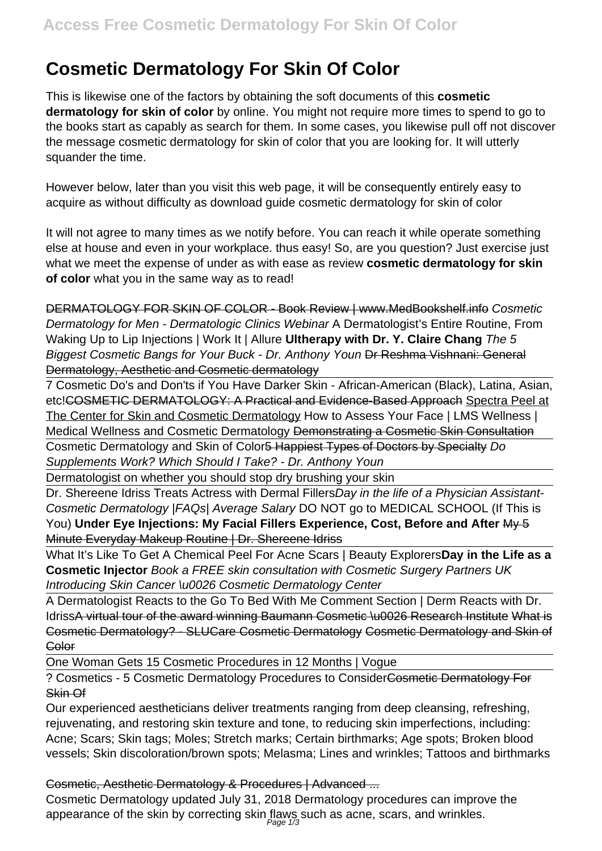# **Cosmetic Dermatology For Skin Of Color**

This is likewise one of the factors by obtaining the soft documents of this **cosmetic dermatology for skin of color** by online. You might not require more times to spend to go to the books start as capably as search for them. In some cases, you likewise pull off not discover the message cosmetic dermatology for skin of color that you are looking for. It will utterly squander the time.

However below, later than you visit this web page, it will be consequently entirely easy to acquire as without difficulty as download guide cosmetic dermatology for skin of color

It will not agree to many times as we notify before. You can reach it while operate something else at house and even in your workplace. thus easy! So, are you question? Just exercise just what we meet the expense of under as with ease as review **cosmetic dermatology for skin of color** what you in the same way as to read!

DERMATOLOGY FOR SKIN OF COLOR - Book Review | www.MedBookshelf.info Cosmetic Dermatology for Men - Dermatologic Clinics Webinar A Dermatologist's Entire Routine, From Waking Up to Lip Injections | Work It | Allure **Ultherapy with Dr. Y. Claire Chang** The 5 Biggest Cosmetic Bangs for Your Buck - Dr. Anthony Youn Dr Reshma Vishnani: General Dermatology, Aesthetic and Cosmetic dermatology

7 Cosmetic Do's and Don'ts if You Have Darker Skin - African-American (Black), Latina, Asian, etc!COSMETIC DERMATOLOGY: A Practical and Evidence-Based Approach Spectra Peel at The Center for Skin and Cosmetic Dermatology How to Assess Your Face | LMS Wellness | Medical Wellness and Cosmetic Dermatology Demonstrating a Cosmetic Skin Consultation

Cosmetic Dermatology and Skin of Color<del>5 Happiest Types of Doctors by Specialty</del> Do Supplements Work? Which Should I Take? - Dr. Anthony Youn

Dermatologist on whether you should stop dry brushing your skin

Dr. Shereene Idriss Treats Actress with Dermal FillersDay in the life of a Physician Assistant-Cosmetic Dermatology |FAQs| Average Salary DO NOT go to MEDICAL SCHOOL (If This is You) **Under Eye Injections: My Facial Fillers Experience, Cost, Before and After** My 5 Minute Everyday Makeup Routine | Dr. Shereene Idriss

What It's Like To Get A Chemical Peel For Acne Scars | Beauty Explorers**Day in the Life as a Cosmetic Injector** Book a FREE skin consultation with Cosmetic Surgery Partners UK Introducing Skin Cancer \u0026 Cosmetic Dermatology Center

A Dermatologist Reacts to the Go To Bed With Me Comment Section | Derm Reacts with Dr. IdrissA virtual tour of the award winning Baumann Cosmetic \u0026 Research Institute What is Cosmetic Dermatology? - SLUCare Cosmetic Dermatology Cosmetic Dermatology and Skin of **Color** 

One Woman Gets 15 Cosmetic Procedures in 12 Months | Vogue

? Cosmetics - 5 Cosmetic Dermatology Procedures to ConsiderCosmetic Dermatology For Skin Of

Our experienced aestheticians deliver treatments ranging from deep cleansing, refreshing, rejuvenating, and restoring skin texture and tone, to reducing skin imperfections, including: Acne; Scars; Skin tags; Moles; Stretch marks; Certain birthmarks; Age spots; Broken blood vessels; Skin discoloration/brown spots; Melasma; Lines and wrinkles; Tattoos and birthmarks

Cosmetic, Aesthetic Dermatology & Procedures | Advanced ...

Cosmetic Dermatology updated July 31, 2018 Dermatology procedures can improve the appearance of the skin by correcting skin flaws such as acne, scars, and wrinkles.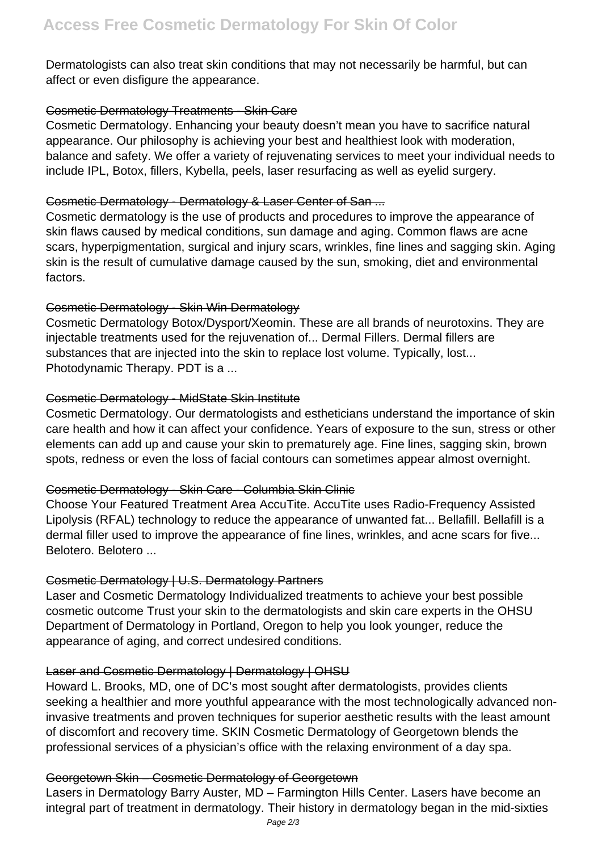Dermatologists can also treat skin conditions that may not necessarily be harmful, but can affect or even disfigure the appearance.

## Cosmetic Dermatology Treatments - Skin Care

Cosmetic Dermatology. Enhancing your beauty doesn't mean you have to sacrifice natural appearance. Our philosophy is achieving your best and healthiest look with moderation, balance and safety. We offer a variety of rejuvenating services to meet your individual needs to include IPL, Botox, fillers, Kybella, peels, laser resurfacing as well as eyelid surgery.

# Cosmetic Dermatology - Dermatology & Laser Center of San ...

Cosmetic dermatology is the use of products and procedures to improve the appearance of skin flaws caused by medical conditions, sun damage and aging. Common flaws are acne scars, hyperpigmentation, surgical and injury scars, wrinkles, fine lines and sagging skin. Aging skin is the result of cumulative damage caused by the sun, smoking, diet and environmental factors.

# Cosmetic Dermatology - Skin Win Dermatology

Cosmetic Dermatology Botox/Dysport/Xeomin. These are all brands of neurotoxins. They are injectable treatments used for the rejuvenation of... Dermal Fillers. Dermal fillers are substances that are injected into the skin to replace lost volume. Typically, lost... Photodynamic Therapy. PDT is a ...

# Cosmetic Dermatology - MidState Skin Institute

Cosmetic Dermatology. Our dermatologists and estheticians understand the importance of skin care health and how it can affect your confidence. Years of exposure to the sun, stress or other elements can add up and cause your skin to prematurely age. Fine lines, sagging skin, brown spots, redness or even the loss of facial contours can sometimes appear almost overnight.

# Cosmetic Dermatology - Skin Care - Columbia Skin Clinic

Choose Your Featured Treatment Area AccuTite. AccuTite uses Radio-Frequency Assisted Lipolysis (RFAL) technology to reduce the appearance of unwanted fat... Bellafill. Bellafill is a dermal filler used to improve the appearance of fine lines, wrinkles, and acne scars for five... Belotero. Belotero ...

# Cosmetic Dermatology | U.S. Dermatology Partners

Laser and Cosmetic Dermatology Individualized treatments to achieve your best possible cosmetic outcome Trust your skin to the dermatologists and skin care experts in the OHSU Department of Dermatology in Portland, Oregon to help you look younger, reduce the appearance of aging, and correct undesired conditions.

# Laser and Cosmetic Dermatology | Dermatology | OHSU

Howard L. Brooks, MD, one of DC's most sought after dermatologists, provides clients seeking a healthier and more youthful appearance with the most technologically advanced noninvasive treatments and proven techniques for superior aesthetic results with the least amount of discomfort and recovery time. SKIN Cosmetic Dermatology of Georgetown blends the professional services of a physician's office with the relaxing environment of a day spa.

# Georgetown Skin – Cosmetic Dermatology of Georgetown

Lasers in Dermatology Barry Auster, MD – Farmington Hills Center. Lasers have become an integral part of treatment in dermatology. Their history in dermatology began in the mid-sixties